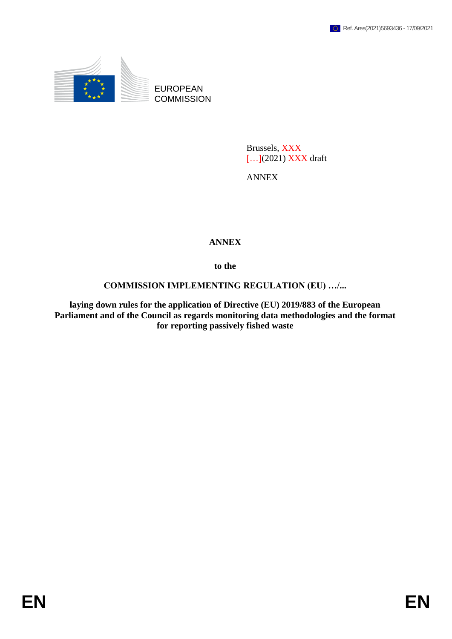

EUROPEAN **COMMISSION** 

> Brussels, XXX [...](2021) XXX draft

ANNEX

## **ANNEX**

**to the**

## **COMMISSION IMPLEMENTING REGULATION (EU) …/...**

**laying down rules for the application of Directive (EU) 2019/883 of the European Parliament and of the Council as regards monitoring data methodologies and the format for reporting passively fished waste**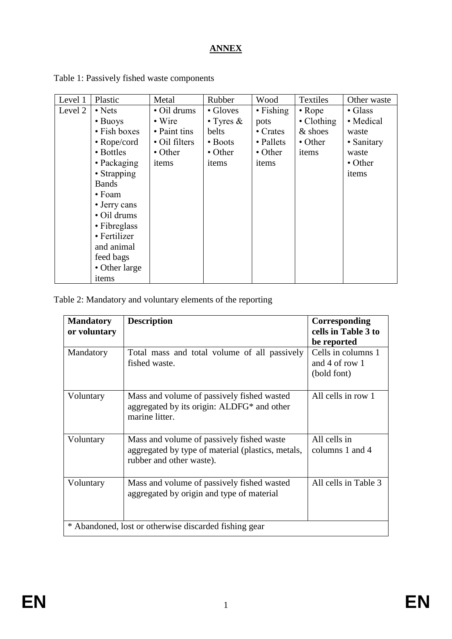## **ANNEX**

| Level 1 | Plastic           | Metal          | Rubber            | Wood              | Textiles       | Other waste     |
|---------|-------------------|----------------|-------------------|-------------------|----------------|-----------------|
| Level 2 | $\bullet$ Nets    | · Oil drums    | • Gloves          | $\bullet$ Fishing | $\bullet$ Rope | $\bullet$ Glass |
|         | • Buoys           | $\bullet$ Wire | $\bullet$ Tyres & | pots              | • Clothing     | • Medical       |
|         | • Fish boxes      | • Paint tins   | belts             | • Crates          | & shoes        | waste           |
|         | $\cdot$ Rope/cord | • Oil filters  | • Boots           | • Pallets         | • Other        | • Sanitary      |
|         | • Bottles         | • Other        | • Other           | • Other           | items          | waste           |
|         | • Packaging       | items          | items             | items             |                | • Other         |
|         | • Strapping       |                |                   |                   |                | items           |
|         | <b>Bands</b>      |                |                   |                   |                |                 |
|         | • Foam            |                |                   |                   |                |                 |
|         | • Jerry cans      |                |                   |                   |                |                 |
|         | • Oil drums       |                |                   |                   |                |                 |
|         | • Fibreglass      |                |                   |                   |                |                 |
|         | • Fertilizer      |                |                   |                   |                |                 |
|         | and animal        |                |                   |                   |                |                 |
|         | feed bags         |                |                   |                   |                |                 |
|         | • Other large     |                |                   |                   |                |                 |
|         | items             |                |                   |                   |                |                 |

Table 1: Passively fished waste components

Table 2: Mandatory and voluntary elements of the reporting

| <b>Mandatory</b><br>or voluntary                      | <b>Description</b>                                                                                                         | Corresponding<br>cells in Table 3 to<br>be reported |  |  |  |
|-------------------------------------------------------|----------------------------------------------------------------------------------------------------------------------------|-----------------------------------------------------|--|--|--|
| Mandatory                                             | Total mass and total volume of all passively<br>fished waste.                                                              | Cells in columns 1<br>and 4 of row 1<br>(bold font) |  |  |  |
| Voluntary                                             | Mass and volume of passively fished wasted<br>aggregated by its origin: ALDFG* and other<br>marine litter.                 | All cells in row 1                                  |  |  |  |
| Voluntary                                             | Mass and volume of passively fished waste<br>aggregated by type of material (plastics, metals,<br>rubber and other waste). | All cells in<br>columns 1 and 4                     |  |  |  |
| Voluntary                                             | Mass and volume of passively fished wasted<br>aggregated by origin and type of material                                    | All cells in Table 3                                |  |  |  |
| * Abandoned, lost or otherwise discarded fishing gear |                                                                                                                            |                                                     |  |  |  |